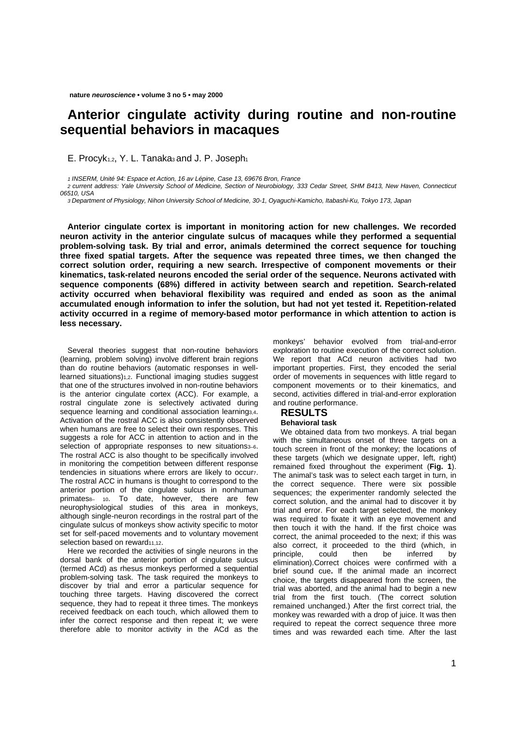# **Anterior cingulate activity during routine and non-routine sequential behaviors in macaques**

E. Procyk<sub>1,2</sub>, Y. L. Tanaka<sub>3</sub> and J. P. Joseph<sub>1</sub>

*1 INSERM, Unité 94: Espace et Action, 16 av Lépine, Case 13, 69676 Bron, France*

*2 current address: Yale University School of Medicine, Section of Neurobiology, 333 Cedar Street, SHM B413, New Haven, Connecticut 06510, USA*

*3 Department of Physiology, Nihon University School of Medicine, 30-1, Oyaguchi-Kamicho, Itabashi-Ku, Tokyo 173, Japan*

**Anterior cingulate cortex is important in monitoring action for new challenges. We recorded neuron activity in the anterior cingulate sulcus of macaques while they performed a sequential problem-solving task. By trial and error, animals determined the correct sequence for touching three fixed spatial targets. After the sequence was repeated three times, we then changed the correct solution order, requiring a new search. Irrespective of component movements or their kinematics, task-related neurons encoded the serial order of the sequence. Neurons activated with sequence components (68%) differed in activity between search and repetition. Search-related activity occurred when behavioral flexibility was required and ended as soon as the animal accumulated enough information to infer the solution, but had not yet tested it. Repetition-related activity occurred in a regime of memory-based motor performance in which attention to action is less necessary.**

Several theories suggest that non-routine behaviors (learning, problem solving) involve different brain regions than do routine behaviors (automatic responses in welllearned situations)1,2. Functional imaging studies suggest that one of the structures involved in non-routine behaviors is the anterior cingulate cortex (ACC). For example, a rostral cingulate zone is selectively activated during sequence learning and conditional association learning3,4. Activation of the rostral ACC is also consistently observed when humans are free to select their own responses. This suggests a role for ACC in attention to action and in the selection of appropriate responses to new situations3-6. The rostral ACC is also thought to be specifically involved in monitoring the competition between different response tendencies in situations where errors are likely to occur7. The rostral ACC in humans is thought to correspond to the anterior portion of the cingulate sulcus in nonhuman primates<sub>8</sub>- 10. To date, however, there are few neurophysiological studies of this area in monkeys, although single-neuron recordings in the rostral part of the cingulate sulcus of monkeys show activity specific to motor set for self-paced movements and to voluntary movement selection based on reward<sub>11,12</sub>.

Here we recorded the activities of single neurons in the dorsal bank of the anterior portion of cingulate sulcus (termed ACd) as rhesus monkeys performed a sequential problem-solving task. The task required the monkeys to discover by trial and error a particular sequence for touching three targets. Having discovered the correct sequence, they had to repeat it three times. The monkeys received feedback on each touch, which allowed them to infer the correct response and then repeat it; we were therefore able to monitor activity in the ACd as the

monkeys' behavior evolved from trial-and-error exploration to routine execution of the correct solution. We report that ACd neuron activities had two important properties. First, they encoded the serial order of movements in sequences with little regard to component movements or to their kinematics, and second, activities differed in trial-and-error exploration and routine performance.

## **RESULTS**

### **Behavioral task**

We obtained data from two monkeys. A trial began with the simultaneous onset of three targets on a touch screen in front of the monkey; the locations of these targets (which we designate upper, left, right) remained fixed throughout the experiment (**Fig. 1**). The animal's task was to select each target in turn, in the correct sequence. There were six possible sequences; the experimenter randomly selected the correct solution, and the animal had to discover it by trial and error. For each target selected, the monkey was required to fixate it with an eye movement and then touch it with the hand. If the first choice was correct, the animal proceeded to the next; if this was also correct, it proceeded to the third (which, in principle. could then be inferred by principle, could then be inferred by elimination).Correct choices were confirmed with a brief sound cue**.** If the animal made an incorrect choice, the targets disappeared from the screen, the trial was aborted, and the animal had to begin a new trial from the first touch. (The correct solution remained unchanged.) After the first correct trial, the monkey was rewarded with a drop of juice. It was then required to repeat the correct sequence three more times and was rewarded each time. After the last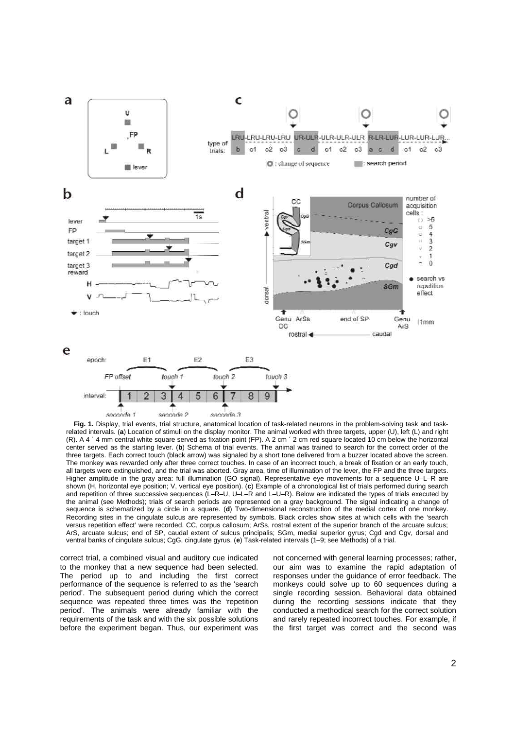

**Fig. 1.** Display, trial events, trial structure, anatomical location of task-related neurons in the problem-solving task and taskrelated intervals. (**a**) Location of stimuli on the display monitor. The animal worked with three targets, upper (U), left (L) and right (R). A 4 ´ 4 mm central white square served as fixation point (FP). A 2 cm ´ 2 cm red square located 10 cm below the horizontal center served as the starting lever. (**b**) Schema of trial events. The animal was trained to search for the correct order of the three targets. Each correct touch (black arrow) was signaled by a short tone delivered from a buzzer located above the screen. The monkey was rewarded only after three correct touches. In case of an incorrect touch, a break of fixation or an early touch, all targets were extinguished, and the trial was aborted. Gray area, time of illumination of the lever, the FP and the three targets. Higher amplitude in the gray area: full illumination (GO signal). Representative eye movements for a sequence U–L–R are shown (H, horizontal eye position; V, vertical eye position). (**c**) Example of a chronological list of trials performed during search and repetition of three successive sequences (L–R–U, U–L–R and L–U–R). Below are indicated the types of trials executed by the animal (see Methods); trials of search periods are represented on a gray background. The signal indicating a change of sequence is schematized by a circle in a square. (**d**) Two-dimensional reconstruction of the medial cortex of one monkey. Recording sites in the cingulate sulcus are represented by symbols. Black circles show sites at which cells with the 'search versus repetition effect' were recorded. CC, corpus callosum; ArSs, rostral extent of the superior branch of the arcuate sulcus; ArS, arcuate sulcus; end of SP, caudal extent of sulcus principalis; SGm, medial superior gyrus; Cgd and Cgv, dorsal and ventral banks of cingulate sulcus; CgG, cingulate gyrus. (**e**) Task-related intervals (1–9; see Methods) of a trial.

correct trial, a combined visual and auditory cue indicated to the monkey that a new sequence had been selected. The period up to and including the first correct performance of the sequence is referred to as the 'search period'. The subsequent period during which the correct sequence was repeated three times was the 'repetition period'. The animals were already familiar with the requirements of the task and with the six possible solutions before the experiment began. Thus, our experiment was

not concerned with general learning processes; rather, our aim was to examine the rapid adaptation of responses under the guidance of error feedback. The monkeys could solve up to 60 sequences during a single recording session. Behavioral data obtained during the recording sessions indicate that they conducted a methodical search for the correct solution and rarely repeated incorrect touches. For example, if the first target was correct and the second was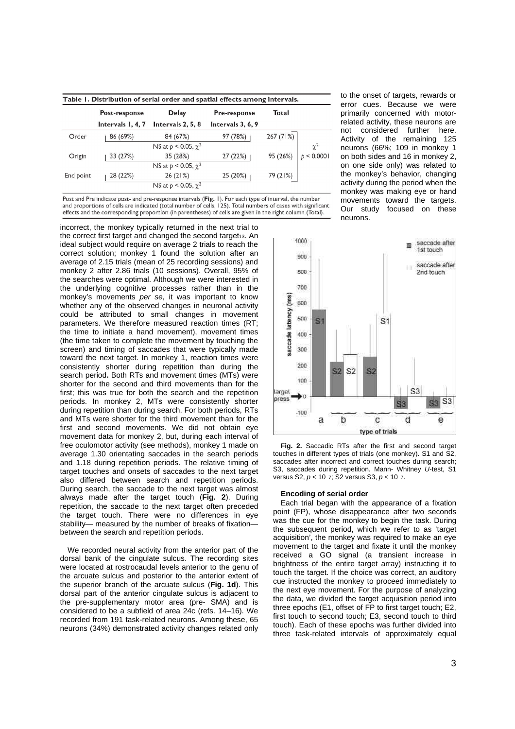|           | Post-response     | Delay                         | Pre-response      | <b>Total</b> |
|-----------|-------------------|-------------------------------|-------------------|--------------|
|           | Intervals 1, 4, 7 | Intervals 2, 5, 8             | Intervals 3, 6, 9 |              |
| Order     | 86 (69%)          | 84 (67%)                      | 97 (78%)          | 267(71%)     |
|           |                   | NS at $p < 0.05$ , $\gamma^2$ |                   |              |
| Origin    | 33 (27%)          | 35 (28%)                      | 27 (22%)          | 95 (26%)     |
|           |                   | NS at $p < 0.05$ , $\chi^2$   |                   |              |
| End point | 28 (22%)          | 26(21%)                       | 25 (20%)          | 79 (21%)     |
|           |                   | NS at $p < 0.05$ , $\chi^2$   |                   |              |

Post and Pre indicate post- and pre-response intervals (Fig. 1). For each type of interval, the number and proportions of cells are indicated (total number of cells, 125). Total numbers of cases with significant effects and the corresponding proportion (in parentheses) of cells are given in the right column (Total).

incorrect, the monkey typically returned in the next trial to the correct first target and changed the second target<sub>13</sub>. An ideal subject would require on average 2 trials to reach the correct solution; monkey 1 found the solution after an average of 2.15 trials (mean of 25 recording sessions) and monkey 2 after 2.86 trials (10 sessions). Overall, 95% of the searches were optimal. Although we were interested in the underlying cognitive processes rather than in the monkey's movements *per se*, it was important to know whether any of the observed changes in neuronal activity could be attributed to small changes in movement parameters. We therefore measured reaction times (RT; the time to initiate a hand movement), movement times (the time taken to complete the movement by touching the screen) and timing of saccades that were typically made toward the next target. In monkey 1, reaction times were consistently shorter during repetition than during the search period**.** Both RTs and movement times (MTs) were shorter for the second and third movements than for the first; this was true for both the search and the repetition periods. In monkey 2, MTs were consistently shorter during repetition than during search. For both periods, RTs and MTs were shorter for the third movement than for the first and second movements. We did not obtain eye movement data for monkey 2, but, during each interval of free oculomotor activity (see methods), monkey 1 made on average 1.30 orientating saccades in the search periods and 1.18 during repetition periods. The relative timing of target touches and onsets of saccades to the next target also differed between search and repetition periods. During search, the saccade to the next target was almost always made after the target touch (**Fig. 2**). During repetition, the saccade to the next target often preceded the target touch. There were no differences in eye stability— measured by the number of breaks of fixation between the search and repetition periods.

We recorded neural activity from the anterior part of the dorsal bank of the cingulate sulcus. The recording sites were located at rostrocaudal levels anterior to the genu of the arcuate sulcus and posterior to the anterior extent of the superior branch of the arcuate sulcus (**Fig. 1d**). This dorsal part of the anterior cingulate sulcus is adjacent to the pre-supplementary motor area (pre- SMA) and is considered to be a subfield of area 24c (refs. 14–16). We recorded from 191 task-related neurons. Among these, 65 neurons (34%) demonstrated activity changes related only

to the onset of targets, rewards or error cues. Because we were primarily concerned with motorrelated activity, these neurons are not considered further here. Activity of the remaining 125 neurons (66%; 109 in monkey 1 on both sides and 16 in monkey 2, on one side only) was related to the monkey's behavior, changing activity during the period when the monkey was making eye or hand movements toward the targets. Our study focused on these neurons.



**Fig. 2.** Saccadic RTs after the first and second target touches in different types of trials (one monkey). S1 and S2, saccades after incorrect and correct touches during search; S3, saccades during repetition. Mann- Whitney *U*-test, S1 versus S2, *p* < 10–7; S2 versus S3, *p* < 10–7.

#### **Encoding of serial order**

Each trial began with the appearance of a fixation point (FP), whose disappearance after two seconds was the cue for the monkey to begin the task. During the subsequent period, which we refer to as 'target acquisition', the monkey was required to make an eye movement to the target and fixate it until the monkey received a GO signal (a transient increase in brightness of the entire target array) instructing it to touch the target. If the choice was correct, an auditory cue instructed the monkey to proceed immediately to the next eye movement. For the purpose of analyzing the data, we divided the target acquisition period into three epochs (E1, offset of FP to first target touch; E2, first touch to second touch; E3, second touch to third touch). Each of these epochs was further divided into three task-related intervals of approximately equal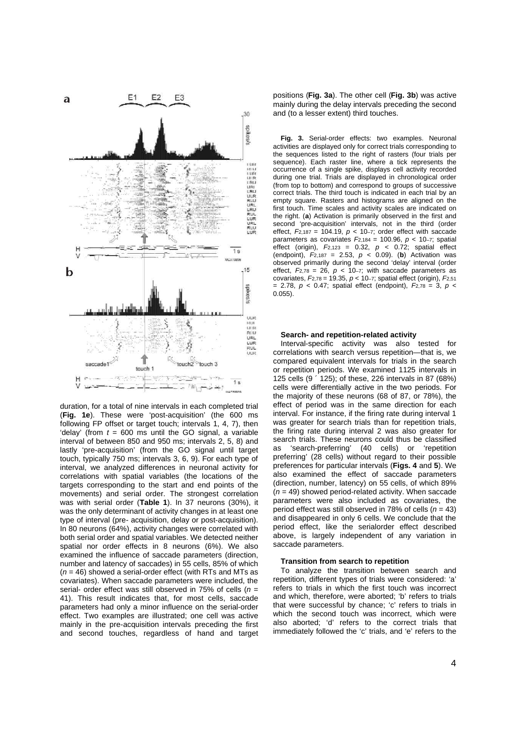

duration, for a total of nine intervals in each completed trial (**Fig. 1e**). These were 'post-acquisition' (the 600 ms following FP offset or target touch; intervals 1, 4, 7), then 'delay' (from  $t = 600$  ms until the GO signal, a variable interval of between 850 and 950 ms; intervals 2, 5, 8) and lastly 'pre-acquisition' (from the GO signal until target touch, typically 750 ms; intervals 3, 6, 9). For each type of interval, we analyzed differences in neuronal activity for correlations with spatial variables (the locations of the targets corresponding to the start and end points of the movements) and serial order. The strongest correlation was with serial order (**Table 1**). In 37 neurons (30%), it was the only determinant of activity changes in at least one type of interval (pre- acquisition, delay or post-acquisition). In 80 neurons (64%), activity changes were correlated with both serial order and spatial variables. We detected neither spatial nor order effects in 8 neurons (6%). We also examined the influence of saccade parameters (direction, number and latency of saccades) in 55 cells, 85% of which (*n* = 46) showed a serial-order effect (with RTs and MTs as covariates). When saccade parameters were included, the serial- order effect was still observed in 75% of cells (*n* = 41). This result indicates that, for most cells, saccade parameters had only a minor influence on the serial-order effect. Two examples are illustrated; one cell was active mainly in the pre-acquisition intervals preceding the first and second touches, regardless of hand and target positions (**Fig. 3a**). The other cell (**Fig. 3b**) was active mainly during the delay intervals preceding the second and (to a lesser extent) third touches.

**Fig. 3.** Serial-order effects: two examples. Neuronal activities are displayed only for correct trials corresponding to the sequences listed to the right of rasters (four trials per sequence). Each raster line, where a tick represents the occurrence of a single spike, displays cell activity recorded during one trial. Trials are displayed in chronological order (from top to bottom) and correspond to groups of successive correct trials. The third touch is indicated in each trial by an empty square. Rasters and histograms are aligned on the first touch. Time scales and activity scales are indicated on the right. (**a**) Activation is primarily observed in the first and second 'pre-acquisition' intervals, not in the third (order effect, *F*2,187 = 104.19, *p* < 10–7; order effect with saccade parameters as covariates  $F_{2,184} = 100.96$ ,  $p < 10$ -7; spatial effect (origin), *F*2,123 = 0.32, *p* < 0.72; spatial effect (endpoint), *F*2,187 = 2.53, *p* < 0.09). (**b**) Activation was observed primarily during the second 'delay' interval (order effect,  $F_{2,78} = 26$ ,  $p < 10$ -7; with saccade parameters as covariates, *F*2,78 = 19.35, *p* < 10–7; spatial effect (origin), *F*2,51 = 2.78, *p* < 0.47; spatial effect (endpoint), *F*2,78 = 3, *p* < 0.055).

### **Search- and repetition-related activity**

Interval-specific activity was also tested for correlations with search versus repetition—that is, we compared equivalent intervals for trials in the search or repetition periods. We examined 1125 intervals in 125 cells (9 ´ 125); of these, 226 intervals in 87 (68%) cells were differentially active in the two periods. For the majority of these neurons (68 of 87, or 78%), the effect of period was in the same direction for each interval. For instance, if the firing rate during interval 1 was greater for search trials than for repetition trials, the firing rate during interval 2 was also greater for search trials. These neurons could thus be classified as 'search-preferring' (40 cells) or 'repetition preferring' (28 cells) without regard to their possible preferences for particular intervals (**Figs. 4** and **5**). We also examined the effect of saccade parameters (direction, number, latency) on 55 cells, of which 89% (*n* = 49) showed period-related activity. When saccade parameters were also included as covariates, the period effect was still observed in 78% of cells (*n* = 43) and disappeared in only 6 cells. We conclude that the period effect, like the serialorder effect described above, is largely independent of any variation in saccade parameters.

### **Transition from search to repetition**

To analyze the transition between search and repetition, different types of trials were considered: 'a' refers to trials in which the first touch was incorrect and which, therefore, were aborted; 'b' refers to trials that were successful by chance; 'c' refers to trials in which the second touch was incorrect, which were also aborted; 'd' refers to the correct trials that immediately followed the 'c' trials, and 'e' refers to the

4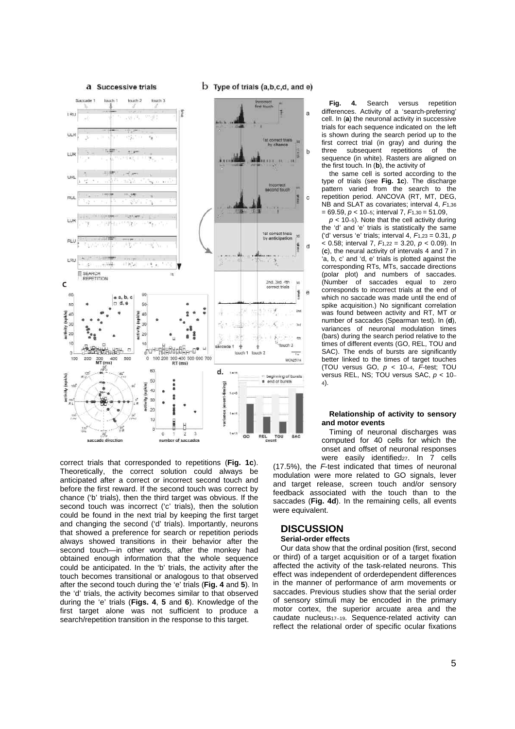

a Successive trials

correct trials that corresponded to repetitions (**Fig. 1c**). Theoretically, the correct solution could always be anticipated after a correct or incorrect second touch and before the first reward. If the second touch was correct by chance ('b' trials), then the third target was obvious. If the second touch was incorrect ('c' trials), then the solution could be found in the next trial by keeping the first target and changing the second ('d' trials). Importantly, neurons that showed a preference for search or repetition periods always showed transitions in their behavior after the second touch—in other words, after the monkey had obtained enough information that the whole sequence could be anticipated. In the 'b' trials, the activity after the touch becomes transitional or analogous to that observed after the second touch during the 'e' trials (**Fig. 4** and **5**). In the 'd' trials, the activity becomes similar to that observed during the 'e' trials (**Figs. 4**, **5** and **6**). Knowledge of the first target alone was not sufficient to produce a search/repetition transition in the response to this target.

 $\alpha$ 

h

 $\overline{c}$ 

 $\mathbf{d}$ 

Fig. 4. Search versus repetition differences. Activity of a 'search-preferring' cell. In (**a**) the neuronal activity in successive trials for each sequence indicated on the left is shown during the search period up to the first correct trial (in gray) and during the three subsequent repetitions of the three subsequent repetitions of the sequence (in white). Rasters are aligned on the first touch. In (**b**), the activity of

the same cell is sorted according to the type of trials (see **Fig. 1c**). The discharge pattern varied from the search to the repetition period. ANCOVA (RT, MT, DEG, NB and SLAT as covariates; interval 4, *F*1,36 = 69.59, *p* < 10–5; interval 7, *F*1,30 = 51.09,

 $p$  < 10–5). Note that the cell activity during the 'd' and 'e' trials is statistically the same ('d' versus 'e' trials; interval 4, *F*1,23 = 0.31, *p*  < 0.58; interval 7, *F*1,22 = 3.20, *p* < 0.09). In (**c**), the neural activity of intervals 4 and 7 in 'a, b, c' and 'd, e' trials is plotted against the corresponding RTs, MTs, saccade directions (polar plot) and numbers of saccades. (Number of saccades equal to zero corresponds to incorrect trials at the end of which no saccade was made until the end of spike acquisition.) No significant correlation was found between activity and RT, MT or number of saccades (Spearman test). In (**d**), variances of neuronal modulation times (bars) during the search period relative to the times of different events (GO, REL, TOU and SAC). The ends of bursts are significantly better linked to the times of target touches (TOU versus GO, *p* < 10–4, *F*-test; TOU versus REL, NS; TOU versus SAC, *p* < 10– 4).

### **Relationship of activity to sensory and motor events**

Timing of neuronal discharges was computed for 40 cells for which the onset and offset of neuronal responses were easily identified<sub>27</sub>. In 7 cells

(17.5%), the *F*-test indicated that times of neuronal modulation were more related to GO signals, lever and target release, screen touch and/or sensory feedback associated with the touch than to the saccades (**Fig. 4d**). In the remaining cells, all events were equivalent.

### **DISCUSSION**

### **Serial-order effects**

Our data show that the ordinal position (first, second or third) of a target acquisition or of a target fixation affected the activity of the task-related neurons. This effect was independent of orderdependent differences in the manner of performance of arm movements or saccades. Previous studies show that the serial order of sensory stimuli may be encoded in the primary motor cortex, the superior arcuate area and the caudate nucleus17–19. Sequence-related activity can reflect the relational order of specific ocular fixations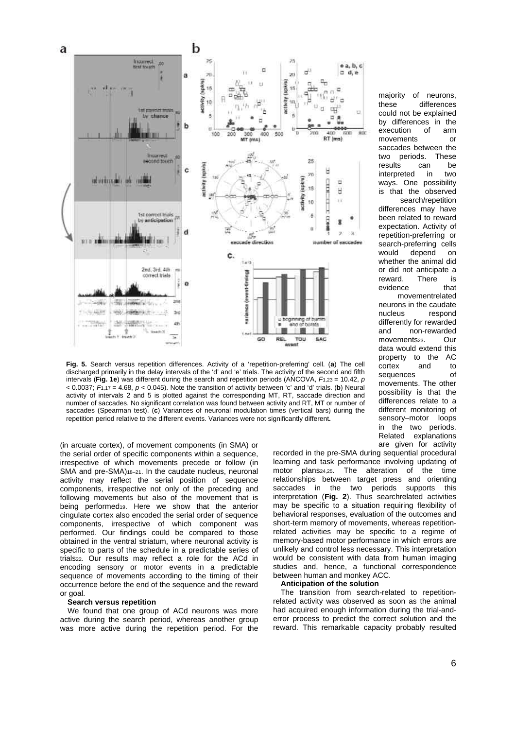

**Fig. 5.** Search versus repetition differences. Activity of a 'repetition-preferring' cell. (**a**) The cell discharged primarily in the delay intervals of the 'd' and 'e' trials. The activity of the second and fifth intervals (**Fig. 1e**) was different during the search and repetition periods (ANCOVA, *F*1,23 = 10.42, *p*  < 0.0037; *F*1,17 = 4.68, *p* < 0.045). Note the transition of activity between 'c' and 'd' trials. (**b**) Neural activity of intervals 2 and 5 is plotted against the corresponding MT, RT, saccade direction and number of saccades. No significant correlation was found between activity and RT, MT or number of saccades (Spearman test). (**c**) Variances of neuronal modulation times (vertical bars) during the repetition period relative to the different events. Variances were not significantly different**.**

(in arcuate cortex), of movement components (in SMA) or the serial order of specific components within a sequence, irrespective of which movements precede or follow (in SMA and pre-SMA)<sub>18-21</sub>. In the caudate nucleus, neuronal activity may reflect the serial position of sequence components, irrespective not only of the preceding and following movements but also of the movement that is being performed19. Here we show that the anterior cingulate cortex also encoded the serial order of sequence components, irrespective of which component was performed. Our findings could be compared to those obtained in the ventral striatum, where neuronal activity is specific to parts of the schedule in a predictable series of trials<sub>22</sub>. Our results may reflect a role for the ACd in encoding sensory or motor events in a predictable sequence of movements according to the timing of their occurrence before the end of the sequence and the reward or goal.

#### **Search versus repetition**

We found that one group of ACd neurons was more active during the search period, whereas another group was more active during the repetition period. For the

majority of neurons, these differences could not be explained by differences in the execution of arm movements or saccades between the<br>two periods These two periods. results can be interpreted in two ways. One possibility is that the observed search/repetition differences may have been related to reward expectation. Activity of repetition-preferring or search-preferring cells would depend on whether the animal did or did not anticipate a reward. There is evidence that movementrelated neurons in the caudate nucleus respond differently for rewarded and non-rewarded movements<sub>23</sub>. Our data would extend this property to the AC cortex and to<br>sequences of sequences movements. The other possibility is that the differences relate to a different monitoring of sensory–motor loops in the two periods. Related explanations are given for activity

recorded in the pre-SMA during sequential procedural learning and task performance involving updating of motor plans24,25. The alteration of the time relationships between target press and orienting saccades in the two periods supports this interpretation (**Fig. 2**). Thus searchrelated activities may be specific to a situation requiring flexibility of behavioral responses, evaluation of the outcomes and short-term memory of movements, whereas repetitionrelated activities may be specific to a regime of memory-based motor performance in which errors are unlikely and control less necessary. This interpretation would be consistent with data from human imaging studies and, hence, a functional correspondence between human and monkey ACC.

### **Anticipation of the solution**

The transition from search-related to repetitionrelated activity was observed as soon as the animal had acquired enough information during the trial-anderror process to predict the correct solution and the reward. This remarkable capacity probably resulted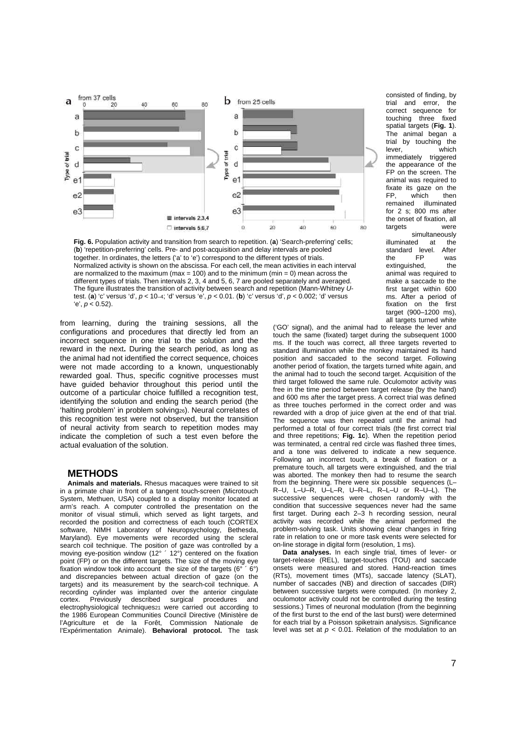

**Fig. 6.** Population activity and transition from search to repetition. (**a**) 'Search-preferring' cells; (**b**) 'repetition-preferring' cells. Pre- and post-acquisition and delay intervals are pooled together. In ordinates, the letters ('a' to 'e') correspond to the different types of trials. Normalized activity is shown on the abscissa. For each cell, the mean activities in each interval are normalized to the maximum (max = 100) and to the minimum (min = 0) mean across the different types of trials. Then intervals 2, 3, 4 and 5, 6, 7 are pooled separately and averaged. The figure illustrates the transition of activity between search and repetition (Mann-Whitney *U*test. (**a**) 'c' versus 'd', *p* < 10–4; 'd' versus 'e', *p* < 0.01. (**b**) 'c' versus 'd', *p* < 0.002; 'd' versus  $(e', p < 0.52)$ .

from learning, during the training sessions, all the configurations and procedures that directly led from an incorrect sequence in one trial to the solution and the reward in the next**.** During the search period, as long as the animal had not identified the correct sequence, choices were not made according to a known, unquestionably rewarded goal. Thus, specific cognitive processes must have guided behavior throughout this period until the outcome of a particular choice fulfilled a recognition test, identifying the solution and ending the search period (the 'halting problem' in problem solving26). Neural correlates of this recognition test were not observed, but the transition of neural activity from search to repetition modes may indicate the completion of such a test even before the actual evaluation of the solution.

### **METHODS**

**Animals and materials.** Rhesus macaques were trained to sit in a primate chair in front of a tangent touch-screen (Microtouch System, Methuen, USA) coupled to a display monitor located at arm's reach. A computer controlled the presentation on the monitor of visual stimuli, which served as light targets, and recorded the position and correctness of each touch (CORTEX software, NIMH Laboratory of Neuropsychology, Bethesda, Maryland). Eye movements were recorded using the scleral search coil technique. The position of gaze was controlled by a moving eye-position window (12° ´ 12°) centered on the fixation point (FP) or on the different targets. The size of the moving eye fixation window took into account the size of the targets ( $6^{\circ}$   $\cdot$   $6^{\circ}$ ) and discrepancies between actual direction of gaze (on the targets) and its measurement by the search-coil technique. A recording cylinder was implanted over the anterior cingulate cortex. Previously described surgical procedures and electrophysiological techniques21 were carried out according to the 1986 European Communities Council Directive (Ministère de l'Agriculture et de la Forêt, Commission Nationale de l'Expérimentation Animale). **Behavioral protocol.** The task

consisted of finding, by trial and error, the correct sequence for touching three fixed spatial targets (**Fig. 1**). The animal began a trial by touching the lever, which immediately triggered the appearance of the FP on the screen. The animal was required to fixate its gaze on the<br>FP which then  $W$ <sub>n</sub> which remained illuminated for 2 s; 800 ms after the onset of fixation, all targets were simultaneously

illuminated at the<br>standard level. After standard level. After<br>the FP was the extinguished, the animal was required to make a saccade to the first target within 600 ms. After a period of fixation on the first target (900–1200 ms) all targets turned white

('GO' signal), and the animal had to release the lever and touch the same (fixated) target during the subsequent 1000 ms. If the touch was correct, all three targets reverted to standard illumination while the monkey maintained its hand position and saccaded to the second target. Following another period of fixation, the targets turned white again, and the animal had to touch the second target. Acquisition of the third target followed the same rule. Oculomotor activity was free in the time period between target release (by the hand) and 600 ms after the target press. A correct trial was defined as three touches performed in the correct order and was rewarded with a drop of juice given at the end of that trial. The sequence was then repeated until the animal had performed a total of four correct trials (the first correct trial and three repetitions; **Fig. 1c**). When the repetition period was terminated, a central red circle was flashed three times, and a tone was delivered to indicate a new sequence. Following an incorrect touch, a break of fixation or a premature touch, all targets were extinguished, and the trial was aborted. The monkey then had to resume the search from the beginning. There were six possible sequences (L– R–U, L–U–R, U–L–R, U–R–L, R–L–U or R–U–L). The successive sequences were chosen randomly with the condition that successive sequences never had the same first target. During each 2–3 h recording session, neural activity was recorded while the animal performed the problem-solving task. Units showing clear changes in firing rate in relation to one or more task events were selected for on-line storage in digital form (resolution, 1 ms).

Data analyses. In each single trial, times of lever- or target-release (REL), target-touches (TOU) and saccade onsets were measured and stored. Hand-reaction times (RTs), movement times (MTs), saccade latency (SLAT), number of saccades (NB) and direction of saccades (DIR) between successive targets were computed. (In monkey 2, oculomotor activity could not be controlled during the testing sessions.) Times of neuronal modulation (from the beginning of the first burst to the end of the last burst) were determined for each trial by a Poisson spiketrain analysis25. Significance level was set at  $p < 0.01$ . Relation of the modulation to an